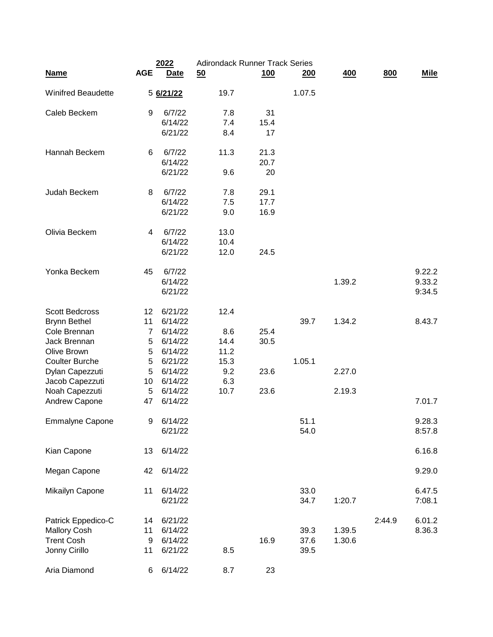|                           |                | 2022        | <b>Adirondack Runner Track Series</b> |            |        |        |        |             |
|---------------------------|----------------|-------------|---------------------------------------|------------|--------|--------|--------|-------------|
| <b>Name</b>               | <b>AGE</b>     | <b>Date</b> | 50                                    | <u>100</u> | 200    | 400    | 800    | <b>Mile</b> |
| <b>Winifred Beaudette</b> |                | 5 6/21/22   | 19.7                                  |            | 1.07.5 |        |        |             |
| Caleb Beckem              | 9              | 6/7/22      | 7.8                                   | 31         |        |        |        |             |
|                           |                | 6/14/22     | 7.4                                   | 15.4       |        |        |        |             |
|                           |                | 6/21/22     | 8.4                                   | 17         |        |        |        |             |
| Hannah Beckem             | 6              | 6/7/22      | 11.3                                  | 21.3       |        |        |        |             |
|                           |                | 6/14/22     |                                       | 20.7       |        |        |        |             |
|                           |                | 6/21/22     | 9.6                                   | 20         |        |        |        |             |
| Judah Beckem              | 8              | 6/7/22      | 7.8                                   | 29.1       |        |        |        |             |
|                           |                | 6/14/22     | 7.5                                   | 17.7       |        |        |        |             |
|                           |                | 6/21/22     | 9.0                                   | 16.9       |        |        |        |             |
| Olivia Beckem             | 4              | 6/7/22      | 13.0                                  |            |        |        |        |             |
|                           |                | 6/14/22     | 10.4                                  |            |        |        |        |             |
|                           |                | 6/21/22     | 12.0                                  | 24.5       |        |        |        |             |
| Yonka Beckem              | 45             | 6/7/22      |                                       |            |        |        |        | 9.22.2      |
|                           |                | 6/14/22     |                                       |            |        | 1.39.2 |        | 9.33.2      |
|                           |                | 6/21/22     |                                       |            |        |        |        | 9:34.5      |
| <b>Scott Bedcross</b>     | 12             | 6/21/22     | 12.4                                  |            |        |        |        |             |
| <b>Brynn Bethel</b>       | 11             | 6/14/22     |                                       |            | 39.7   | 1.34.2 |        | 8.43.7      |
| Cole Brennan              | $\overline{7}$ | 6/14/22     | 8.6                                   | 25.4       |        |        |        |             |
| Jack Brennan              | 5              | 6/14/22     | 14.4                                  | 30.5       |        |        |        |             |
| Olive Brown               | 5              | 6/14/22     | 11.2                                  |            |        |        |        |             |
| <b>Coulter Burche</b>     | 5              | 6/21/22     | 15.3                                  |            | 1.05.1 |        |        |             |
| Dylan Capezzuti           | 5              | 6/14/22     | 9.2                                   | 23.6       |        | 2.27.0 |        |             |
| Jacob Capezzuti           | 10             | 6/14/22     | 6.3                                   |            |        |        |        |             |
| Noah Capezzuti            | 5              | 6/14/22     | 10.7                                  | 23.6       |        | 2.19.3 |        |             |
| Andrew Capone             | 47             | 6/14/22     |                                       |            |        |        |        | 7.01.7      |
| <b>Emmalyne Capone</b>    | 9              | 6/14/22     |                                       |            | 51.1   |        |        | 9.28.3      |
|                           |                | 6/21/22     |                                       |            | 54.0   |        |        | 8:57.8      |
| Kian Capone               | 13             | 6/14/22     |                                       |            |        |        |        | 6.16.8      |
| Megan Capone              | 42             | 6/14/22     |                                       |            |        |        |        | 9.29.0      |
| Mikailyn Capone           | 11             | 6/14/22     |                                       |            | 33.0   |        |        | 6.47.5      |
|                           |                | 6/21/22     |                                       |            | 34.7   | 1:20.7 |        | 7:08.1      |
| Patrick Eppedico-C        | 14             | 6/21/22     |                                       |            |        |        | 2:44.9 | 6.01.2      |
| <b>Mallory Cosh</b>       | 11             | 6/14/22     |                                       |            | 39.3   | 1.39.5 |        | 8.36.3      |
| <b>Trent Cosh</b>         | 9              | 6/14/22     |                                       | 16.9       | 37.6   | 1.30.6 |        |             |
| Jonny Cirillo             | 11             | 6/21/22     | 8.5                                   |            | 39.5   |        |        |             |
| Aria Diamond              | 6              | 6/14/22     | 8.7                                   | 23         |        |        |        |             |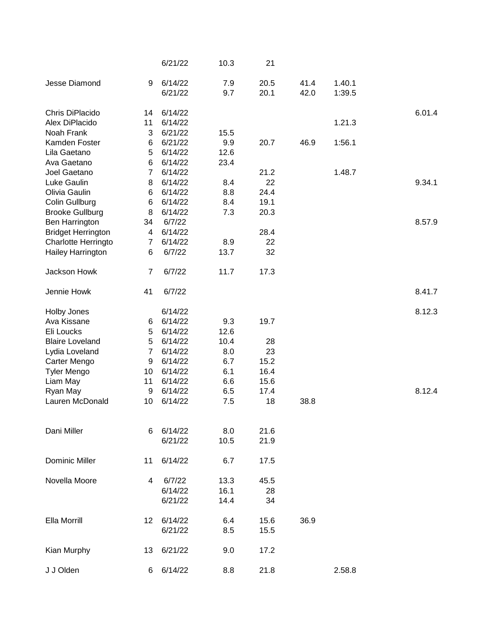|                           |                | 6/21/22            | 10.3        | 21           |      |        |        |
|---------------------------|----------------|--------------------|-------------|--------------|------|--------|--------|
| Jesse Diamond             | 9              | 6/14/22            | 7.9         | 20.5         | 41.4 | 1.40.1 |        |
|                           |                | 6/21/22            | 9.7         | 20.1         | 42.0 | 1:39.5 |        |
| Chris DiPlacido           | 14             | 6/14/22            |             |              |      |        | 6.01.4 |
| Alex DiPlacido            | 11             | 6/14/22            |             |              |      | 1.21.3 |        |
| Noah Frank                | 3              | 6/21/22            | 15.5        |              |      |        |        |
| Kamden Foster             | 6              | 6/21/22            | 9.9         | 20.7         | 46.9 | 1:56.1 |        |
| Lila Gaetano              | 5              | 6/14/22            | 12.6        |              |      |        |        |
| Ava Gaetano               | 6              | 6/14/22            | 23.4        |              |      |        |        |
| Joel Gaetano              | $\overline{7}$ | 6/14/22            |             | 21.2         |      | 1.48.7 |        |
| Luke Gaulin               | 8              | 6/14/22            | 8.4         | 22           |      |        | 9.34.1 |
| Olivia Gaulin             | 6              | 6/14/22            | 8.8         | 24.4         |      |        |        |
| Colin Gullburg            | 6              | 6/14/22            | 8.4         | 19.1         |      |        |        |
| <b>Brooke Gullburg</b>    | 8              | 6/14/22            | 7.3         | 20.3         |      |        |        |
| Ben Harrington            | 34             | 6/7/22             |             |              |      |        | 8.57.9 |
| <b>Bridget Herrington</b> | 4              | 6/14/22            |             | 28.4         |      |        |        |
| Charlotte Herringto       | 7              | 6/14/22            | 8.9         | 22           |      |        |        |
| Hailey Harrington         | 6              | 6/7/22             | 13.7        | 32           |      |        |        |
| Jackson Howk              | $\overline{7}$ | 6/7/22             | 11.7        | 17.3         |      |        |        |
| Jennie Howk               | 41             | 6/7/22             |             |              |      |        | 8.41.7 |
| <b>Holby Jones</b>        |                | 6/14/22            |             |              |      |        | 8.12.3 |
| Ava Kissane               | 6              | 6/14/22            | 9.3         | 19.7         |      |        |        |
| Eli Loucks                | 5              | 6/14/22            | 12.6        |              |      |        |        |
| <b>Blaire Loveland</b>    | 5              | 6/14/22            | 10.4        | 28           |      |        |        |
| Lydia Loveland            | $\overline{7}$ | 6/14/22            | 8.0         | 23           |      |        |        |
| Carter Mengo              | 9              | 6/14/22            | 6.7         | 15.2         |      |        |        |
| <b>Tyler Mengo</b>        | 10             | 6/14/22            | 6.1         | 16.4         |      |        |        |
| Liam May                  | 11             | 6/14/22            | 6.6         | 15.6         |      |        |        |
| Ryan May                  | 9              | 6/14/22            | 6.5         | 17.4         |      |        | 8.12.4 |
| Lauren McDonald           | 10             | 6/14/22            | 7.5         | 18           | 38.8 |        |        |
|                           |                |                    |             |              |      |        |        |
| Dani Miller               | 6              | 6/14/22<br>6/21/22 | 8.0<br>10.5 | 21.6<br>21.9 |      |        |        |
|                           |                |                    |             |              |      |        |        |
| <b>Dominic Miller</b>     | 11             | 6/14/22            | 6.7         | 17.5         |      |        |        |
| Novella Moore             | 4              | 6/7/22             | 13.3        | 45.5         |      |        |        |
|                           |                | 6/14/22            | 16.1        | 28           |      |        |        |
|                           |                | 6/21/22            | 14.4        | 34           |      |        |        |
| Ella Morrill              | 12             | 6/14/22            | 6.4         | 15.6         | 36.9 |        |        |
|                           |                | 6/21/22            | 8.5         | 15.5         |      |        |        |
| Kian Murphy               | 13             | 6/21/22            | 9.0         | 17.2         |      |        |        |
|                           |                |                    |             |              |      |        |        |
| J J Olden                 | 6              | 6/14/22            | 8.8         | 21.8         |      | 2.58.8 |        |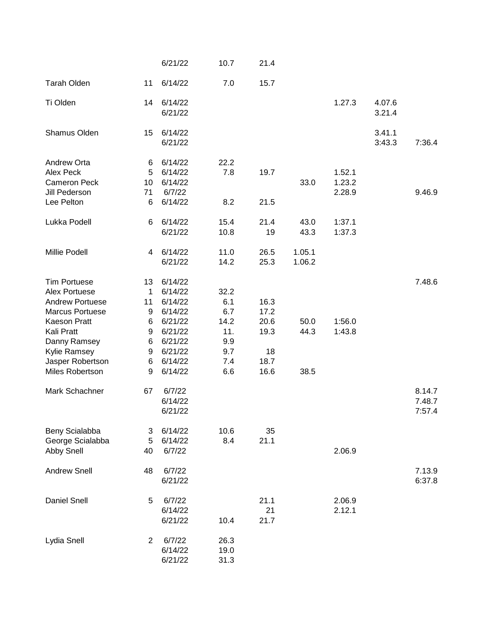|                                                                                                                                                        |                                        | 6/21/22                                                                              | 10.7                                            | 21.4                               |                  |                            |                  |                            |
|--------------------------------------------------------------------------------------------------------------------------------------------------------|----------------------------------------|--------------------------------------------------------------------------------------|-------------------------------------------------|------------------------------------|------------------|----------------------------|------------------|----------------------------|
| <b>Tarah Olden</b>                                                                                                                                     | 11                                     | 6/14/22                                                                              | 7.0                                             | 15.7                               |                  |                            |                  |                            |
| Ti Olden                                                                                                                                               | 14                                     | 6/14/22<br>6/21/22                                                                   |                                                 |                                    |                  | 1.27.3                     | 4.07.6<br>3.21.4 |                            |
| Shamus Olden                                                                                                                                           | 15                                     | 6/14/22<br>6/21/22                                                                   |                                                 |                                    |                  |                            | 3.41.1<br>3:43.3 | 7:36.4                     |
| Andrew Orta<br>Alex Peck<br><b>Cameron Peck</b><br>Jill Pederson<br>Lee Pelton                                                                         | 6<br>5<br>10<br>71<br>$6\phantom{1}6$  | 6/14/22<br>6/14/22<br>6/14/22<br>6/7/22<br>6/14/22                                   | 22.2<br>7.8<br>8.2                              | 19.7<br>21.5                       | 33.0             | 1.52.1<br>1.23.2<br>2.28.9 |                  | 9.46.9                     |
| Lukka Podell                                                                                                                                           | 6                                      | 6/14/22                                                                              | 15.4                                            | 21.4                               | 43.0             | 1:37.1                     |                  |                            |
|                                                                                                                                                        |                                        | 6/21/22                                                                              | 10.8                                            | 19                                 | 43.3             | 1:37.3                     |                  |                            |
| Millie Podell                                                                                                                                          | 4                                      | 6/14/22<br>6/21/22                                                                   | 11.0<br>14.2                                    | 26.5<br>25.3                       | 1.05.1<br>1.06.2 |                            |                  |                            |
| <b>Tim Portuese</b><br>Alex Portuese<br><b>Andrew Portuese</b><br><b>Marcus Portuese</b><br>Kaeson Pratt<br>Kali Pratt<br>Danny Ramsey<br>Kylie Ramsey | 13<br>1<br>11<br>9<br>6<br>9<br>6<br>9 | 6/14/22<br>6/14/22<br>6/14/22<br>6/14/22<br>6/21/22<br>6/21/22<br>6/21/22<br>6/21/22 | 32.2<br>6.1<br>6.7<br>14.2<br>11.<br>9.9<br>9.7 | 16.3<br>17.2<br>20.6<br>19.3<br>18 | 50.0<br>44.3     | 1:56.0<br>1:43.8           |                  | 7.48.6                     |
| Jasper Robertson<br>Miles Robertson                                                                                                                    | 6<br>9                                 | 6/14/22<br>6/14/22                                                                   | 7.4<br>6.6                                      | 18.7<br>16.6                       | 38.5             |                            |                  |                            |
| Mark Schachner                                                                                                                                         | 67                                     | 6/7/22<br>6/14/22<br>6/21/22                                                         |                                                 |                                    |                  |                            |                  | 8.14.7<br>7.48.7<br>7:57.4 |
| Beny Scialabba<br>George Scialabba<br>Abby Snell                                                                                                       | 3<br>5<br>40                           | 6/14/22<br>6/14/22<br>6/7/22                                                         | 10.6<br>8.4                                     | 35<br>21.1                         |                  | 2.06.9                     |                  |                            |
| <b>Andrew Snell</b>                                                                                                                                    | 48                                     | 6/7/22<br>6/21/22                                                                    |                                                 |                                    |                  |                            |                  | 7.13.9<br>6:37.8           |
| <b>Daniel Snell</b>                                                                                                                                    | 5                                      | 6/7/22<br>6/14/22<br>6/21/22                                                         | 10.4                                            | 21.1<br>21<br>21.7                 |                  | 2.06.9<br>2.12.1           |                  |                            |
| Lydia Snell                                                                                                                                            | $\overline{2}$                         | 6/7/22<br>6/14/22<br>6/21/22                                                         | 26.3<br>19.0<br>31.3                            |                                    |                  |                            |                  |                            |